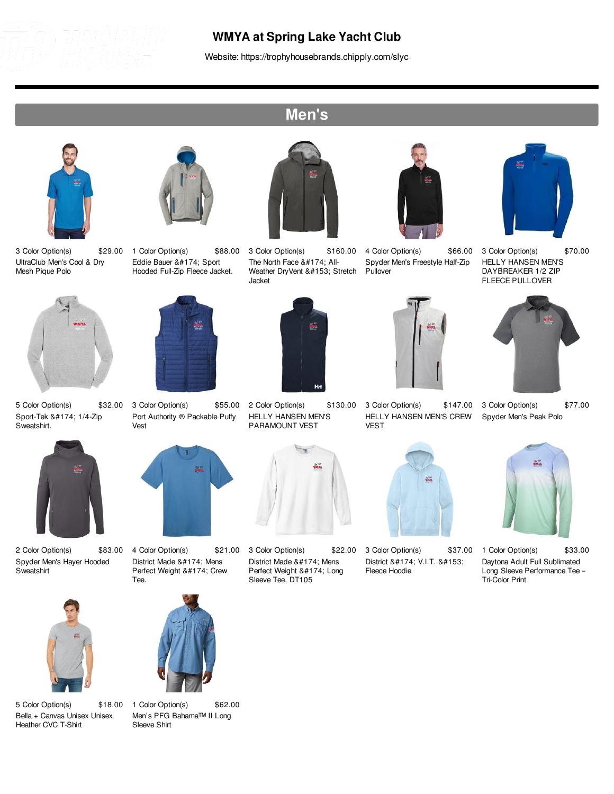

## **WMYA at Spring Lake Yacht Club**

Website: https://trophyhousebrands.chipply.com/slyc

## **Men's**







5 Color Option(s) \$32.00 Sport-Tek ® 1/4-Zip Sweatshirt.



2 Color Option(s) \$83.00 Spyder Men's Hayer Hooded **Sweatshirt** 



5 Color Option(s) \$18.00 Bella + Canvas Unisex Unisex Heather CVC T-Shirt



1 Color Option(s) \$88.00 Eddie Bauer ® Sport Hooded Full-Zip Fleece Jacket.



3 Color Option(s) \$55.00 Port Authority ® Packable Puffy Vest



4 Color Option(s) \$21.00 District Made ® Mens Perfect Weight ® Crew Tee.



1 Color Option(s) \$62.00 Men's PFG Bahama™ II Long

Sleeve Shirt



3 Color Option(s) \$160.00 The North Face ® All-Weather DryVent ™ Stretch Jacket



2 Color Option(s) \$130.00 HELLY HANSEN MEN'S PARAMOUNT VEST



3 Color Option(s) \$22.00 District Made ® Mens Perfect Weight ® Long Sleeve Tee. DT105



4 Color Option(s) \$66.00 Spyder Men's Freestyle Half-Zip Pullover



3 Color Option(s) \$147.00 HELLY HANSEN MEN'S CREW



3 Color Option(s) \$37.00 District ® V.I.T. ™ Fleece Hoodie



3 Color Option(s) \$70.00 HELLY HANSEN MEN'S DAYBREAKER 1/2 ZIP FLEECE PULLOVER



3 Color Option(s) \$77.00 Spyder Men's Peak Polo



1 Color Option(s) \$33.00 Daytona Adult Full Sublimated Long Sleeve Performance Tee – Tri-Color Print











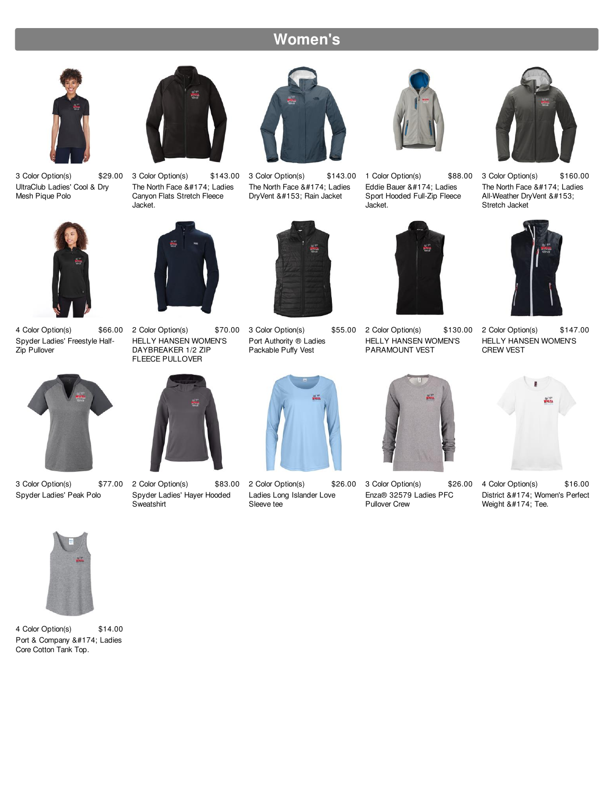## **Women's**



3 Color Option(s) \$29.00 UltraClub Ladies' Cool & Dry Mesh Pique Polo



3 Color Option(s) \$143.00 The North Face ® Ladies Canyon Flats Stretch Fleece Jacket.



3 Color Option(s) \$143.00 The North Face ® Ladies DryVent ™ Rain Jacket



1 Color Option(s) \$88.00 Eddie Bauer ® Ladies Sport Hooded Full-Zip Fleece Jacket.



3 Color Option(s) \$160.00 The North Face ® Ladies All-Weather DryVent ™ Stretch Jacket



4 Color Option(s) Spyder Ladies' Freestyle Half-Zip Pullover



3 Color Option(s) \$77.00 Spyder Ladies' Peak Polo



\$66.00 2 Color Option(s) HELLY HANSEN WOMEN'S DAYBREAKER 1/2 ZIP FLEECE PULLOVER



2 Color Option(s) \$83.00 Spyder Ladies' Hayer Hooded Sweatshirt



\$70.00 3 Color Option(s) \$55.00 Port Authority ® Ladies Packable Puffy Vest



2 Color Option(s) \$26.00 Ladies Long Islander Love Sleeve tee



2 Color Option(s) HELLY HANSEN WOMEN'S PARAMOUNT VEST



3 Color Option(s) \$26.00 Enza® 32579 Ladies PFC Pullover Crew



2 Color Option(s) \$147.00 HELLY HANSEN WOMEN'S CREW VEST



4 Color Option(s) \$16.00 District ® Women's Perfect Weight  $®$ ; Tee.



4 Color Option(s) \$14.00 Port & Company ® Ladies Core Cotton Tank Top.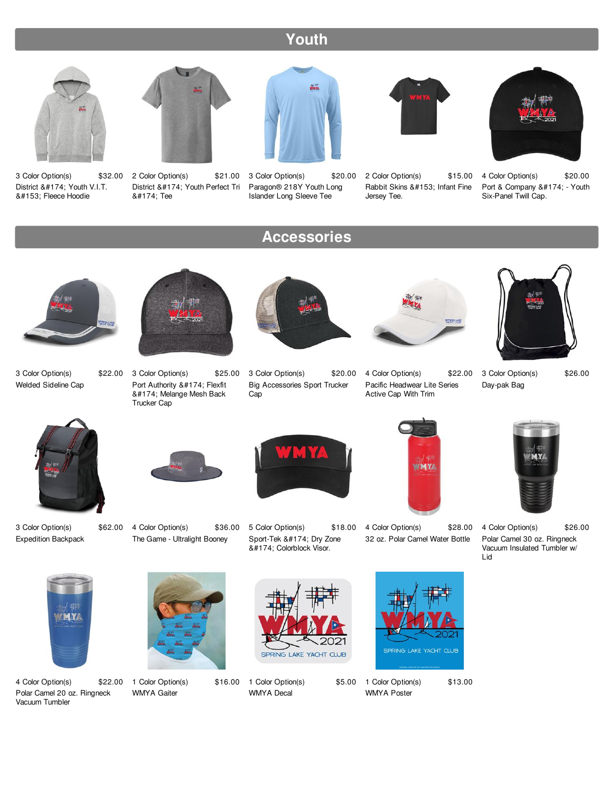## **Youth**



3 Color Option(s) District ® Youth V.I.T. ™ Fleece Hoodie



\$32.00 2 Color Option(s) \$21.00 ® Tee

District ® Youth Perfect Tri



3 Color Option(s) \$20.00 Paragon® 218Y Youth Long Islander Long Sleeve Tee

**Accessories**



2 Color Option(s) \$15.00 Rabbit Skins ™ Infant Fine Jersey Tee.



4 Color Option(s) \$20.00 Port & Company ® - Youth Six-Panel Twill Cap.



3 Color Option(s) \$22.00 Welded Sideline Cap



3 Color Option(s) \$25.00 Port Authority ® Flexfit ® Melange Mesh Back Trucker Cap



3 Color Option(s) \$20.00 Big Accessories Sport Trucker Cap



4 Color Option(s) \$22.00 Pacific Headwear Lite Series Active Cap With Trim



3 Color Option(s) \$26.00 Day-pak Bag



3 Color Option(s) \$62.00 Expedition Backpack



4 Color Option(s) \$36.00 The Game - Ultralight Booney



5 Color Option(s) \$18.00 Sport-Tek ® Dry Zone ® Colorblock Visor.





4 Color Option(s) \$26.00 Polar Camel 30 oz. Ringneck Vacuum Insulated Tumbler w/ Lid



4 Color Option(s) \$22.00 Polar Camel 20 oz. Ringneck Vacuum Tumbler



1 Color Option(s) WMYA Gaiter



\$16.00 1 Color Option(s) WMYA Decal



\$5.00 1 Color Option(s) \$13.00 WMYA Poster